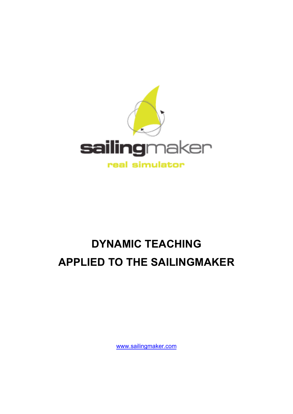

# **DYNAMIC TEACHING APPLIED TO THE SAILINGMAKER**

www.sailingmaker.com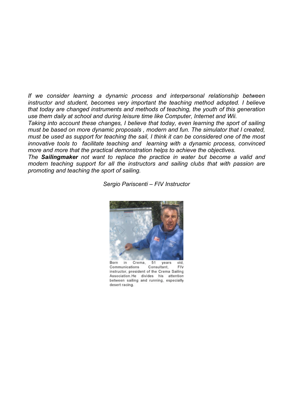*If we consider learning a dynamic process and interpersonal relationship between instructor and student, becomes very important the teaching method adopted. I believe that today are changed instruments and methods of teaching, the youth of this generation use them daily at school and during leisure time like Computer, Internet and Wii.*

*Taking into account these changes, I believe that today, even learning the sport of sailing must be based on more dynamic proposals , modern and fun. The simulator that I created, must be used as support for teaching the sail, I think it can be considered one of the most innovative tools to facilitate teaching and learning with a dynamic process, convinced more and more that the practical demonstration helps to achieve the objectives.* 

*The Sailingmaker not want to replace the practice in water but become a valid and modern teaching support for all the instructors and sailing clubs that with passion are promoting and teaching the sport of sailing.* 

*Sergio Pariscenti – FIV Instructor*



 $51$ Born Crema, in vears old Consultant. Communications **FIV** instructor, president of the Crema Sailing Association.He divides his attention between sailing and running, especially desert racing.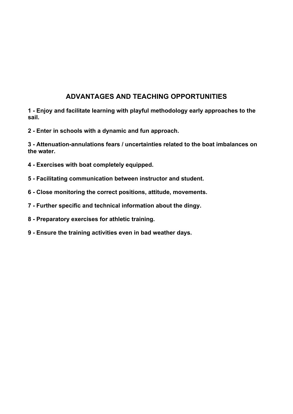# **ADVANTAGES AND TEACHING OPPORTUNITIES**

**1 - Enjoy and facilitate learning with playful methodology early approaches to the sail.**

**2 - Enter in schools with a dynamic and fun approach.**

**3 - Attenuation-annulations fears / uncertainties related to the boat imbalances on the water.**

- **4 Exercises with boat completely equipped.**
- **5 - Facilitating communication between instructor and student.**
- **6 - Close monitoring the correct positions, attitude, movements.**
- **7 Further specific and technical information about the dingy.**
- **8 - Preparatory exercises for athletic training.**
- **9 - Ensure the training activities even in bad weather days.**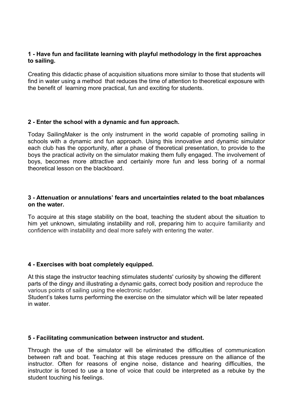# **1 - Have fun and facilitate learning with playful methodology in the first approaches to sailing.**

Creating this didactic phase of acquisition situations more similar to those that students will find in water using a method that reduces the time of attention to theoretical exposure with the benefit of learning more practical, fun and exciting for students.

#### **2 - Enter the school with a dynamic and fun approach.**

Today SailingMaker is the only instrument in the world capable of promoting sailing in schools with a dynamic and fun approach. Using this innovative and dynamic simulator each club has the opportunity, after a phase of theoretical presentation, to provide to the boys the practical activity on the simulator making them fully engaged. The involvement of boys, becomes more attractive and certainly more fun and less boring of a normal theoretical lesson on the blackboard.

#### **3 - Attenuation or annulations' fears and uncertainties related to the boat mbalances on the water.**

To acquire at this stage stability on the boat, teaching the student about the situation to him yet unknown, simulating instability and roll, preparing him to acquire familiarity and confidence with instability and deal more safely with entering the water.

#### **4 - Exercises with boat completely equipped.**

At this stage the instructor teaching stimulates students' curiosity by showing the different parts of the dingy and illustrating a dynamic gaits, correct body position and reproduce the various points of sailing using the electronic rudder.

Student's takes turns performing the exercise on the simulator which will be later repeated in water.

#### **5 - Facilitating communication between instructor and student.**

Through the use of the simulator will be eliminated the difficulties of communication between raft and boat. Teaching at this stage reduces pressure on the alliance of the instructor. Often for reasons of engine noise, distance and hearing difficulties, the instructor is forced to use a tone of voice that could be interpreted as a rebuke by the student touching his feelings.